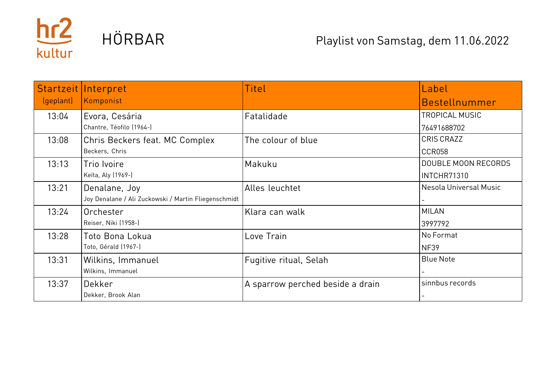

|           | Startzeit Interpret                                  | Titel                            | Label                      |
|-----------|------------------------------------------------------|----------------------------------|----------------------------|
| (geplant) | Komponist                                            |                                  | Bestellnummer              |
| 13:04     | Evora, Cesária                                       | Fatalidade                       | <b>TROPICAL MUSIC</b>      |
|           | Chantre, Téofilo (1964-)                             |                                  | 76491688702                |
| 13:08     | Chris Beckers feat. MC Complex                       | The colour of blue               | <b>CRIS CRAZZ</b>          |
|           | Beckers, Chris                                       |                                  | <b>CCR058</b>              |
| 13:13     | Trio Ivoire                                          | Makuku                           | <b>DOUBLE MOON RECORDS</b> |
|           | Keïta, Aly (1969-)                                   |                                  | INTCHR71310                |
| 13:21     | Denalane, Joy                                        | Alles leuchtet                   | Nesola Universal Music     |
|           | Joy Denalane / Ali Zuckowski / Martin Fliegenschmidt |                                  |                            |
| 13:24     | Orchester                                            | Klara can walk                   | <b>MILAN</b>               |
|           | Reiser, Niki (1958-)                                 |                                  | 3997792                    |
| 13:28     | Toto Bona Lokua                                      | Love Train                       | No Format                  |
|           | Toto, Gérald (1967-)                                 |                                  | <b>NF39</b>                |
| 13:31     | Wilkins, Immanuel                                    | Fugitive ritual, Selah           | <b>Blue Note</b>           |
|           | Wilkins, Immanuel                                    |                                  |                            |
| 13:37     | Dekker                                               | A sparrow perched beside a drain | sinnbus records            |
|           | Dekker, Brook Alan                                   |                                  |                            |